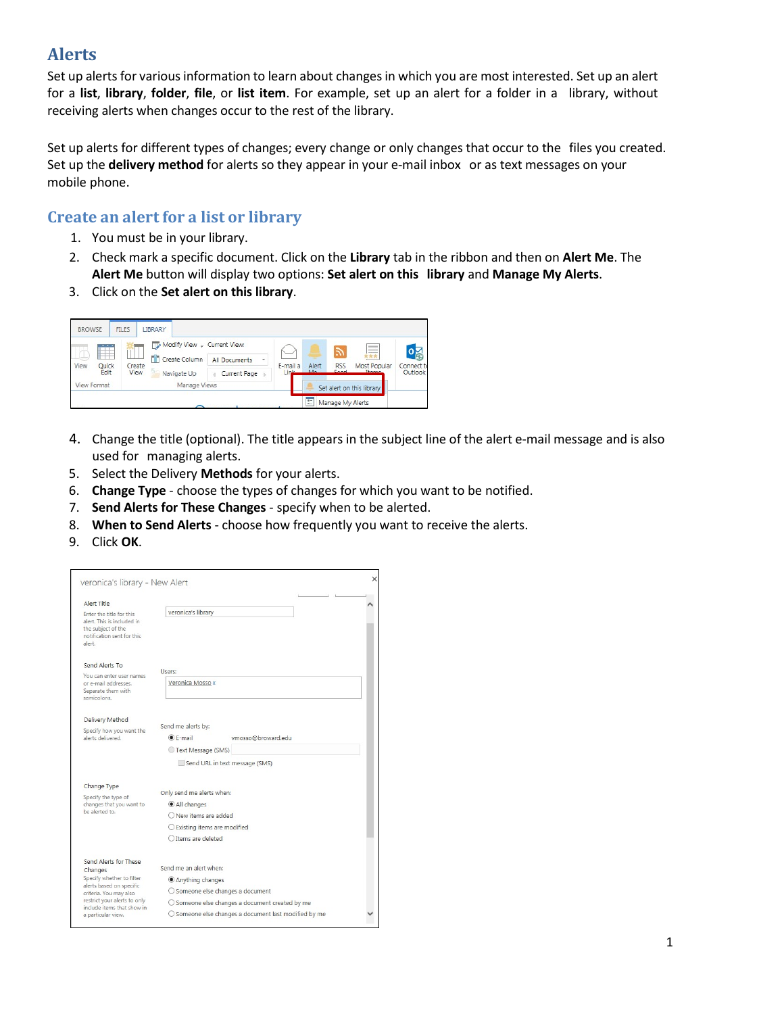# **Alerts**

Set up alerts for various information to learn about changes in which you are most interested. Set up an alert for a **list**, **library**, **folder**, **file**, or **list item**. For example, set up an alert for a folder in a library, without receiving alerts when changes occur to the rest of the library.

Set up alerts for different types of changes; every change or only changes that occur to the files you created. Set up the **delivery method** for alerts so they appear in your e-mail inbox or as text messages on your mobile phone.

# **Create an alert for a list or library**

- 1. You must be in your library.
- 2. Check mark a specific document. Click on the **Library** tab in the ribbon and then on **Alert Me**. The **Alert Me** button will display two options: **Set alert on this library** and **Manage My Alerts**.
- 3. Click on the **Set alert on this library**.

| <b>BROWSE</b>      |                    | <b>FILES</b>          | LIBRARY                     |                    |                           |              |                    |                              |                                       |
|--------------------|--------------------|-----------------------|-----------------------------|--------------------|---------------------------|--------------|--------------------|------------------------------|---------------------------------------|
|                    | <b>AND</b>         | Create<br><b>View</b> | Modify View - Current View: |                    |                           |              | $\mathbb{Z}$       | $\frac{1}{2}$                |                                       |
| View               | .<br>Quick<br>Edit |                       | <b>M</b> Create Column      | All Documents<br>٠ | E-mail a<br>Link          | Alert<br>MAG | <b>RSS</b><br>Feed | ***<br>Most Popular<br>Thame | $\mathbf{0}$<br>Connect to<br>Outlook |
|                    |                    |                       | Navigate Up                 | Current Page<br>a  |                           |              |                    |                              |                                       |
| <b>View Format</b> |                    | Manage Views          |                             |                    | Set alert on this library |              |                    |                              |                                       |
|                    |                    |                       |                             |                    |                           | z            | Manage My Alerts   |                              |                                       |

- 4. Change the title (optional). The title appears in the subject line of the alert e-mail message and is also used for managing alerts.
- 5. Select the Delivery **Methods** for your alerts.
- 6. **Change Type**  choose the types of changes for which you want to be notified.
- 7. **Send Alerts for These Changes** specify when to be alerted.
- 8. **When to Send Alerts** choose how frequently you want to receive the alerts.
- 9. Click **OK**.

| Alert Title                                                                              |                                                       |  |  |  |  |
|------------------------------------------------------------------------------------------|-------------------------------------------------------|--|--|--|--|
| Enter the title for this                                                                 | veronica's library                                    |  |  |  |  |
| alert. This is included in<br>the subject of the<br>notification sent for this<br>alert. |                                                       |  |  |  |  |
| Send Alerts To                                                                           | Users:                                                |  |  |  |  |
| You can enter user names                                                                 |                                                       |  |  |  |  |
| or e-mail addresses.<br>Separate them with                                               | Veronica Mosso x                                      |  |  |  |  |
| semicolons.                                                                              |                                                       |  |  |  |  |
| Delivery Method                                                                          |                                                       |  |  |  |  |
| Specify how you want the                                                                 | Send me alerts by:                                    |  |  |  |  |
| alerts delivered.                                                                        | $•$ F-mail<br>vmosso@broward.edu                      |  |  |  |  |
|                                                                                          | Text Message (SMS)                                    |  |  |  |  |
|                                                                                          | Send URL in text message (SMS)                        |  |  |  |  |
| Change Type                                                                              |                                                       |  |  |  |  |
| Specify the type of                                                                      | Only send me alerts when:                             |  |  |  |  |
| changes that you want to<br>be alerted to.                                               | All changes                                           |  |  |  |  |
|                                                                                          | O New items are added                                 |  |  |  |  |
|                                                                                          | $\bigcirc$ Existing items are modified                |  |  |  |  |
|                                                                                          | O Items are deleted                                   |  |  |  |  |
| Send Alerts for These                                                                    |                                                       |  |  |  |  |
| Changes                                                                                  | Send me an alert when:                                |  |  |  |  |
| Specify whether to filter<br>alerts based on specific                                    | Anything changes                                      |  |  |  |  |
| criteria. You may also                                                                   | ○ Someone else changes a document                     |  |  |  |  |
| restrict your alerts to only<br>include items that show in                               | O Someone else changes a document created by me       |  |  |  |  |
| a particular view.                                                                       | ○ Someone else changes a document last modified by me |  |  |  |  |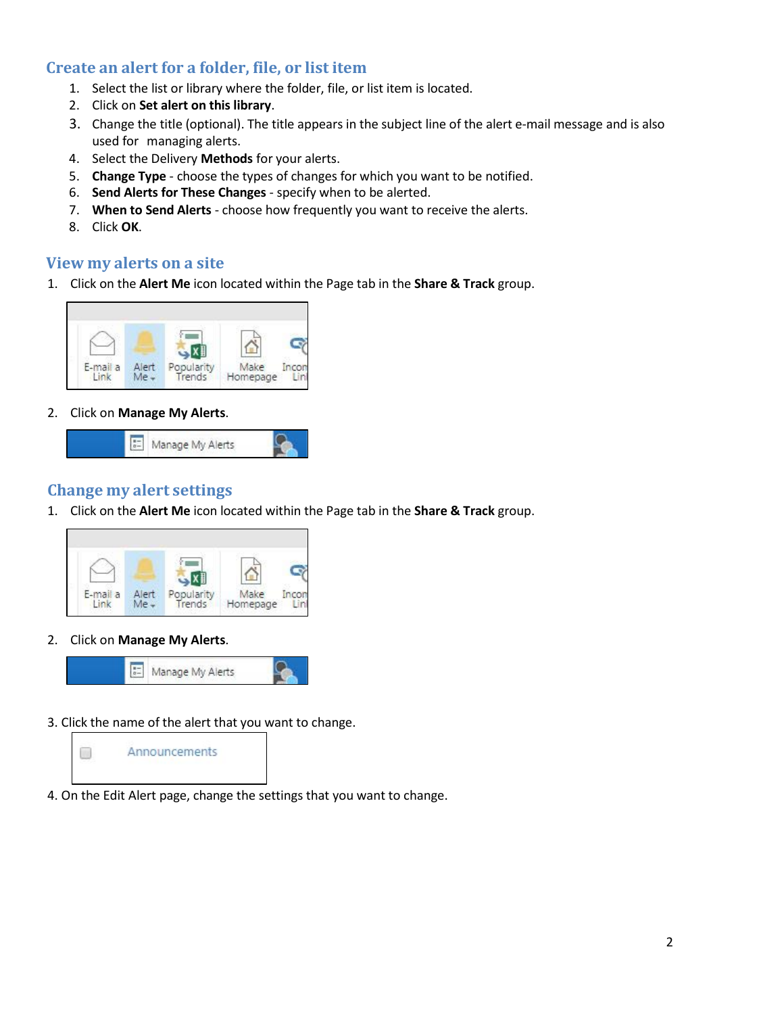# **Create an alert for a folder, file, or list item**

- 1. Select the list or library where the folder, file, or list item is located.
- 2. Click on **Set alert on this library**.
- 3. Change the title (optional). The title appears in the subject line of the alert e-mail message and is also used for managing alerts.
- 4. Select the Delivery **Methods** for your alerts.
- 5. **Change Type**  choose the types of changes for which you want to be notified.
- 6. **Send Alerts for These Changes** specify when to be alerted.
- 7. **When to Send Alerts** choose how frequently you want to receive the alerts.
- 8. Click **OK**.

#### **View my alerts on a site**

1. Click on the **Alert Me** icon located within the Page tab in the **Share & Track** group.



2. Click on **Manage My Alerts**.



### **Change my alert settings**

1. Click on the **Alert Me** icon located within the Page tab in the **Share & Track** group.



2. Click on **Manage My Alerts**.



3. Click the name of the alert that you want to change.



4. On the Edit Alert page, change the settings that you want to change.